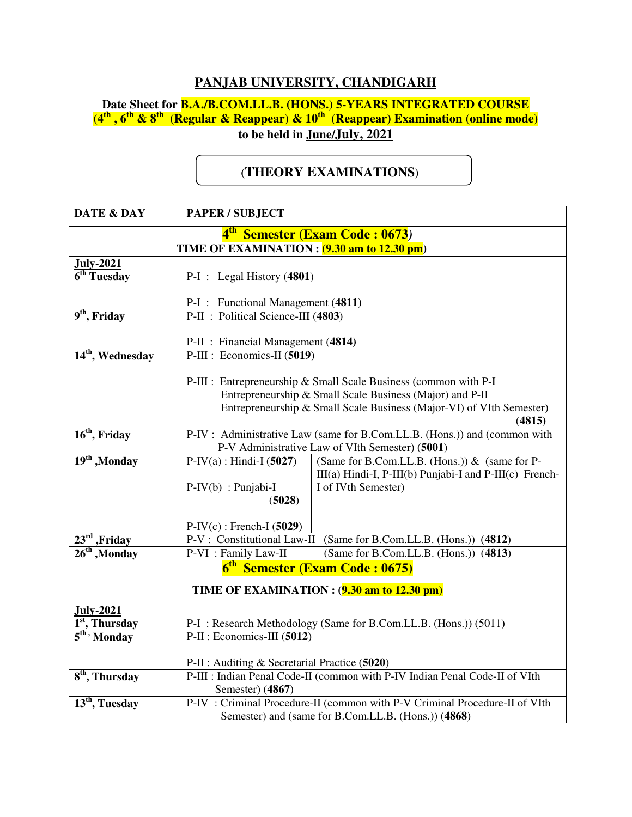## **PANJAB UNIVERSITY, CHANDIGARH**

## **Date Sheet for B.A./B.COM.LL.B. (HONS.) 5-YEARS INTEGRATED COURSE (4th , 6th & 8th (Regular & Reappear) & 10th (Reappear) Examination (online mode) to be held in June/July, 2021**

## **(THEORY EXAMINATIONS)**

| <b>DATE &amp; DAY</b>                       | PAPER / SUBJECT                                                                |                                                                  |  |  |
|---------------------------------------------|--------------------------------------------------------------------------------|------------------------------------------------------------------|--|--|
| 4 <sup>th</sup> Semester (Exam Code: 0673)  |                                                                                |                                                                  |  |  |
| TIME OF EXAMINATION : (9.30 am to 12.30 pm) |                                                                                |                                                                  |  |  |
| <b>July-2021</b>                            |                                                                                |                                                                  |  |  |
| $\overline{6^{th}$ Tuesday                  | $P-I$ : Legal History (4801)                                                   |                                                                  |  |  |
|                                             | P-I : Functional Management (4811)                                             |                                                                  |  |  |
| $9th$ , Friday                              | P-II : Political Science-III (4803)                                            |                                                                  |  |  |
|                                             |                                                                                |                                                                  |  |  |
|                                             | P-II : Financial Management (4814)                                             |                                                                  |  |  |
| 14 <sup>th</sup> , Wednesday                | P-III : Economics-II (5019)                                                    |                                                                  |  |  |
|                                             |                                                                                |                                                                  |  |  |
|                                             | P-III : Entrepreneurship & Small Scale Business (common with P-I               |                                                                  |  |  |
|                                             | Entrepreneurship & Small Scale Business (Major) and P-II                       |                                                                  |  |  |
|                                             | Entrepreneurship & Small Scale Business (Major-VI) of VIth Semester)<br>(4815) |                                                                  |  |  |
| $16th$ , Friday                             | P-IV: Administrative Law (same for B.Com.LL.B. (Hons.)) and (common with       |                                                                  |  |  |
|                                             | P-V Administrative Law of VIth Semester) (5001)                                |                                                                  |  |  |
| 19 <sup>th</sup> , Monday                   | $P-IV(a)$ : Hindi-I (5027)                                                     | (Same for B.Com.LL.B. (Hons.)) & (same for P-                    |  |  |
|                                             |                                                                                | $III(a)$ Hindi-I, P-III(b) Punjabi-I and P-III(c) French-        |  |  |
|                                             | $P-IV(b)$ : Punjabi-I                                                          | I of IVth Semester)                                              |  |  |
|                                             | (5028)                                                                         |                                                                  |  |  |
|                                             | $P-IV(c)$ : French-I (5029)                                                    |                                                                  |  |  |
| $23rd$ , Friday                             |                                                                                | P-V: Constitutional Law-II (Same for B.Com.LL.B. (Hons.)) (4812) |  |  |
| $26th$ , Monday                             | P-VI : Family Law-II                                                           | (Same for B.Com.LL.B. (Hons.)) (4813)                            |  |  |
| 6 <sup>th</sup> Semester (Exam Code: 0675)  |                                                                                |                                                                  |  |  |
| TIME OF EXAMINATION : (9.30 am to 12.30 pm) |                                                                                |                                                                  |  |  |
| <b>July-2021</b>                            |                                                                                |                                                                  |  |  |
| 1 <sup>st</sup> , Thursday                  | P-I: Research Methodology (Same for B.Com.LL.B. (Hons.)) (5011)                |                                                                  |  |  |
| $5th$ Monday                                | P-II : Economics-III (5012)                                                    |                                                                  |  |  |
|                                             | P-II : Auditing & Secretarial Practice (5020)                                  |                                                                  |  |  |
| 8 <sup>th</sup> , Thursday                  | P-III : Indian Penal Code-II (common with P-IV Indian Penal Code-II of VIth    |                                                                  |  |  |
|                                             | Semester) (4867)                                                               |                                                                  |  |  |
| 13 <sup>th</sup> , Tuesday                  | P-IV: Criminal Procedure-II (common with P-V Criminal Procedure-II of VIth     |                                                                  |  |  |
|                                             | Semester) and (same for B.Com.LL.B. (Hons.)) (4868)                            |                                                                  |  |  |